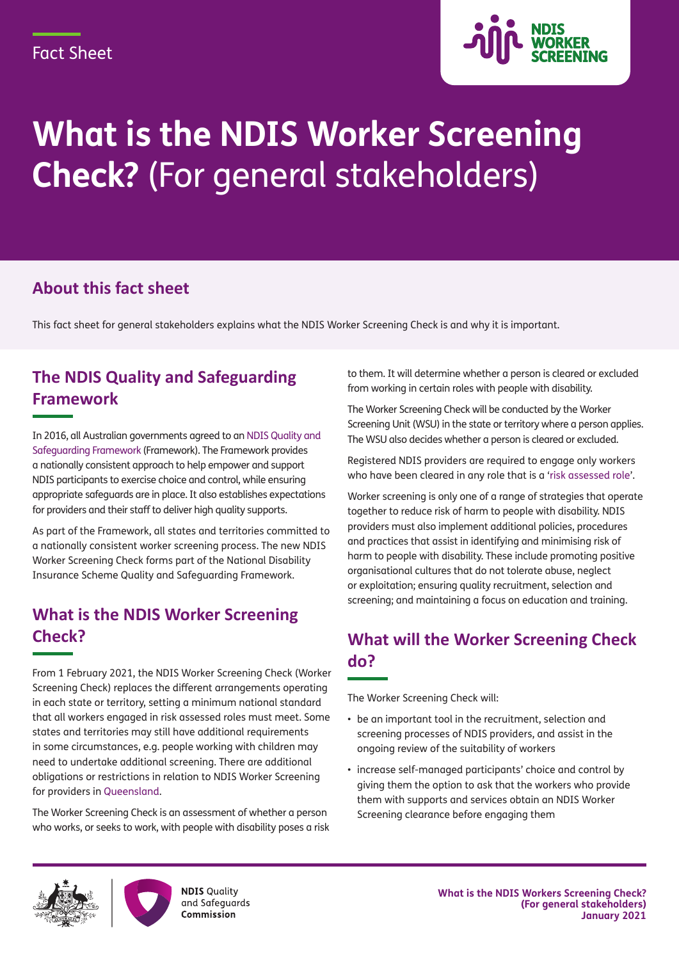

# **What is the NDIS Worker Screening Check?** (For general stakeholders)

### **About this fact sheet**

This fact sheet for general stakeholders explains what the NDIS Worker Screening Check is and why it is important.

# **The NDIS Quality and Safeguarding Framework**

In 2016, all Australian governments agreed to a[n NDIS Quality and](https://www.dss.gov.au/disability-and-carers/programs-services/for-people-with-disability/ndis-quality-and-safeguarding-framework-0)  [Safeguarding Framework](https://www.dss.gov.au/disability-and-carers/programs-services/for-people-with-disability/ndis-quality-and-safeguarding-framework-0) (Framework). The Framework provides a nationally consistent approach to help empower and support NDIS participants to exercise choice and control, while ensuring appropriate safeguards are in place. It also establishes expectations for providers and their staff to deliver high quality supports.

As part of the Framework, all states and territories committed to a nationally consistent worker screening process. The new NDIS Worker Screening Check forms part of the National Disability Insurance Scheme Quality and Safeguarding Framework.

#### **What is the NDIS Worker Screening Check?**

From 1 February 2021, the NDIS Worker Screening Check (Worker Screening Check) replaces the different arrangements operating in each state or territory, setting a minimum national standard that all workers engaged in risk assessed roles must meet. Some states and territories may still have additional requirements in some circumstances, e.g. people working with children may need to undertake additional screening. There are additional obligations or restrictions in relation to NDIS Worker Screening for providers in [Queensland.](http://workerscreening.communities.qld.gov.au/)

The Worker Screening Check is an assessment of whether a person who works, or seeks to work, with people with disability poses a risk to them. It will determine whether a person is cleared or excluded from working in certain roles with people with disability.

The Worker Screening Check will be conducted by the Worker Screening Unit (WSU) in the state or territory where a person applies. The WSU also decides whether a person is cleared or excluded.

Registered NDIS providers are required to engage only workers who have been cleared in any role that is a ['risk assessed role'](https://www.ndiscommission.gov.au/providers/worker-screening#ide).

Worker screening is only one of a range of strategies that operate together to reduce risk of harm to people with disability. NDIS providers must also implement additional policies, procedures and practices that assist in identifying and minimising risk of harm to people with disability. These include promoting positive organisational cultures that do not tolerate abuse, neglect or exploitation; ensuring quality recruitment, selection and screening; and maintaining a focus on education and training.

# **What will the Worker Screening Check do?**

The Worker Screening Check will:

- be an important tool in the recruitment, selection and screening processes of NDIS providers, and assist in the ongoing review of the suitability of workers
- increase self-managed participants' choice and control by giving them the option to ask that the workers who provide them with supports and services obtain an NDIS Worker Screening clearance before engaging them





**NDIS Quality** and Safeguards Commission

**What is the NDIS Workers Screening Check? (For general stakeholders) January 2021**